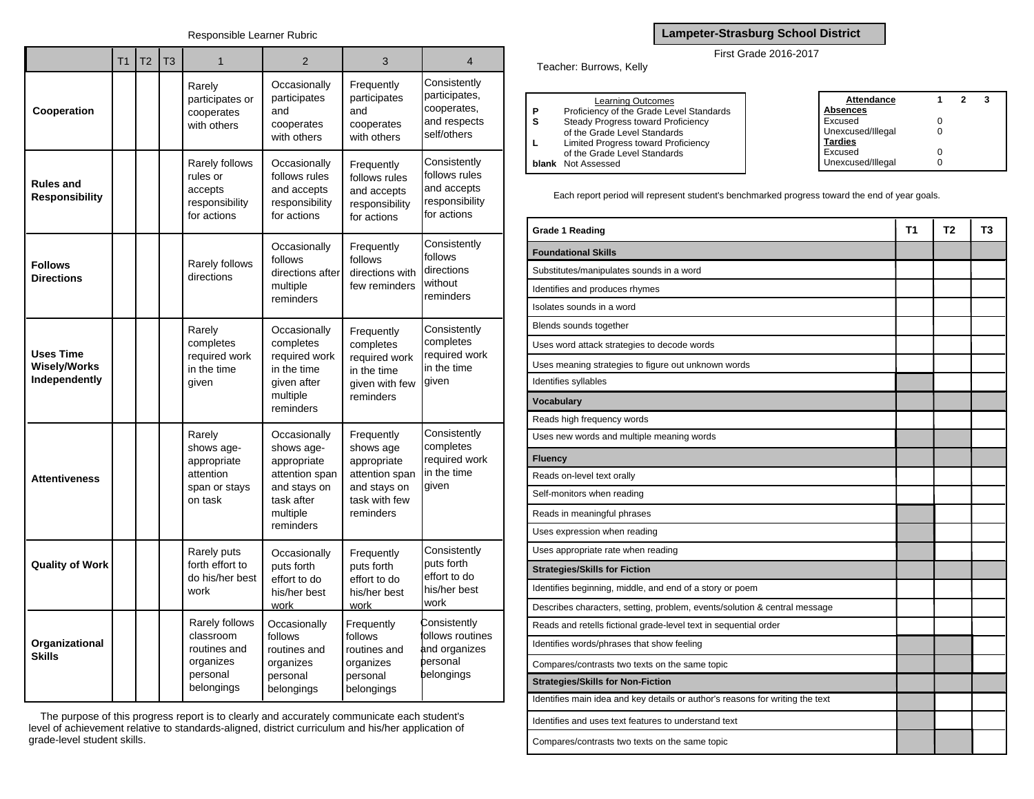## Responsible Learner Rubric

|                                                          | T <sub>1</sub> | T <sub>2</sub> | T <sub>3</sub> | 1                                                                                  | $\overline{2}$                                                                                                     | 3                                                                                                      | $\overline{4}$                                                                |
|----------------------------------------------------------|----------------|----------------|----------------|------------------------------------------------------------------------------------|--------------------------------------------------------------------------------------------------------------------|--------------------------------------------------------------------------------------------------------|-------------------------------------------------------------------------------|
| Cooperation                                              |                |                |                | Rarely<br>participates or<br>cooperates<br>with others                             | Occasionally<br>participates<br>and<br>cooperates<br>with others                                                   | Frequently<br>participates<br>and<br>cooperates<br>with others                                         | Consistently<br>participates,<br>cooperates,<br>and respects<br>self/others   |
| <b>Rules and</b><br><b>Responsibility</b>                |                |                |                | Rarely follows<br>rules or<br>accepts<br>responsibility<br>for actions             | Occasionally<br>follows rules<br>and accepts<br>responsibility<br>for actions                                      | Frequently<br>follows rules<br>and accepts<br>responsibility<br>for actions                            | Consistently<br>follows rules<br>and accepts<br>responsibility<br>for actions |
| <b>Follows</b><br><b>Directions</b>                      |                |                |                | Rarely follows<br>directions                                                       | Occasionally<br>follows<br>directions after<br>multiple<br>reminders                                               | Frequently<br>follows<br>directions with<br>few reminders                                              | Consistently<br>follows<br>directions<br>without<br>reminders                 |
| <b>Uses Time</b><br><b>Wisely/Works</b><br>Independently |                |                |                | Rarely<br>completes<br>required work<br>in the time<br>given                       | Occasionally<br>completes<br>required work<br>in the time<br>given after<br>multiple<br>reminders                  | Frequently<br>completes<br>required work<br>in the time<br>given with few<br>reminders                 | Consistently<br>completes<br>required work<br>in the time<br>given            |
| <b>Attentiveness</b>                                     |                |                |                | Rarely<br>shows age-<br>appropriate<br>attention<br>span or stays<br>on task       | Occasionally<br>shows age-<br>appropriate<br>attention span<br>and stays on<br>task after<br>multiple<br>reminders | Frequently<br>shows age<br>appropriate<br>attention span<br>and stays on<br>task with few<br>reminders | Consistently<br>completes<br>required work<br>in the time<br>given            |
| <b>Quality of Work</b>                                   |                |                |                | Rarely puts<br>forth effort to<br>do his/her best<br>work                          | Occasionally<br>puts forth<br>effort to do<br>his/her best<br>work                                                 | Frequently<br>puts forth<br>effort to do<br>his/her best<br>work                                       | Consistently<br>puts forth<br>effort to do<br>his/her best<br>work            |
| Organizational<br><b>Skills</b>                          |                |                |                | Rarely follows<br>classroom<br>routines and<br>organizes<br>personal<br>belongings | Occasionally<br>follows<br>routines and<br>organizes<br>personal<br>belongings                                     | Frequently<br>follows<br>routines and<br>organizes<br>personal<br>belongings                           | Consistently<br>ollows routines<br>and organizes<br>bersonal<br>belongings    |

The purpose of this progress report is to clearly and accurately communicate each student's level of achievement relative to standards-aligned, district curriculum and his/her application of grade-level student skills.

## **Lampeter-Strasburg School District**

## First Grade 2016-2017

Teacher: Burrows, Kelly

| <b>Learning Outcomes</b><br>Proficiency of the Grade Level Standards<br>P<br>Steady Progress toward Proficiency<br>s<br>of the Grade Level Standards<br><b>Limited Progress toward Proficiency</b><br>L<br>of the Grade Level Standards<br><b>blank</b> Not Assessed | Attendance<br>Absences<br>Excused<br>Unexcused/Illegal<br><b>Tardies</b><br>Excused<br>Unexcused/Illegal |  |  | - 3 |
|----------------------------------------------------------------------------------------------------------------------------------------------------------------------------------------------------------------------------------------------------------------------|----------------------------------------------------------------------------------------------------------|--|--|-----|
|----------------------------------------------------------------------------------------------------------------------------------------------------------------------------------------------------------------------------------------------------------------------|----------------------------------------------------------------------------------------------------------|--|--|-----|

Each report period will represent student's benchmarked progress toward the end of year goals.

| <b>Grade 1 Reading</b>                                                        | Τ1 | T2 | T3 |
|-------------------------------------------------------------------------------|----|----|----|
| <b>Foundational Skills</b>                                                    |    |    |    |
| Substitutes/manipulates sounds in a word                                      |    |    |    |
| Identifies and produces rhymes                                                |    |    |    |
| Isolates sounds in a word                                                     |    |    |    |
| Blends sounds together                                                        |    |    |    |
| Uses word attack strategies to decode words                                   |    |    |    |
| Uses meaning strategies to figure out unknown words                           |    |    |    |
| Identifies syllables                                                          |    |    |    |
| <b>Vocabulary</b>                                                             |    |    |    |
| Reads high frequency words                                                    |    |    |    |
| Uses new words and multiple meaning words                                     |    |    |    |
| <b>Fluency</b>                                                                |    |    |    |
| Reads on-level text orally                                                    |    |    |    |
| Self-monitors when reading                                                    |    |    |    |
| Reads in meaningful phrases                                                   |    |    |    |
| Uses expression when reading                                                  |    |    |    |
| Uses appropriate rate when reading                                            |    |    |    |
| <b>Strategies/Skills for Fiction</b>                                          |    |    |    |
| Identifies beginning, middle, and end of a story or poem                      |    |    |    |
| Describes characters, setting, problem, events/solution & central message     |    |    |    |
| Reads and retells fictional grade-level text in sequential order              |    |    |    |
| Identifies words/phrases that show feeling                                    |    |    |    |
| Compares/contrasts two texts on the same topic                                |    |    |    |
| <b>Strategies/Skills for Non-Fiction</b>                                      |    |    |    |
| Identifies main idea and key details or author's reasons for writing the text |    |    |    |
| Identifies and uses text features to understand text                          |    |    |    |
| Compares/contrasts two texts on the same topic                                |    |    |    |